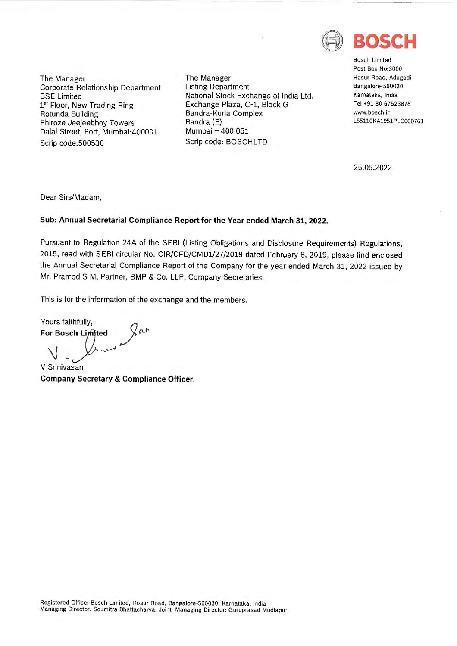

The Manager Corporate Relationship Department BSE Limited 1st Floor, New Trading Ring Rotunda Building Phiroze Jeejeebhoy Towers Dalal Street, Fort, Mumbai-400001 Scrip code:500530

The Manager Listing Department National Stock Exchange of India Ltd. Exchange Plaza, C-1, Block G Bandra-Kurla Complex Bandra (E) Mumbai - 400 051 Scrip code: BOSCHLTD

Bosch Limited Post Box No:3000 Hosur Road, Adugodi Bangalore-560030 Karnataka, India Tel +91 80 67523878 www.bosch.in L85110KA1951PLC000761

25.05.2022

Dear Sirs/Madam,

## **Sub: Annual Secretarial Compliance Report for the Year ended March 31, 2022.**

Pursuant to Regulation 24A of the SEBI (Listing Obligations and Disclosure Requirements) Regulations, 2015, read with SEBI circular No. CIR/CFD/CMDl/27/2019 dated February 8, 2019, please find enclosed the Annual Secretarial Compliance Report of the Company for the year ended March 31, 2022 issued by Mr. Pramod S M, Partner, BMP & Co. LLP, Company Secretaries.

This is for the information of the exchange and the members.

Yours faithfully, **For Bosch Limited** yar

V Srinivasan **Company Secretary & Compliance Officer.** 

Registered Office: Bosch Limited, Hosur Road, Bangalore-560030, Karnataka, India Managing Director: Soumitra Bhattacharya, Joint Managing Director: Guruprasad Mudlapur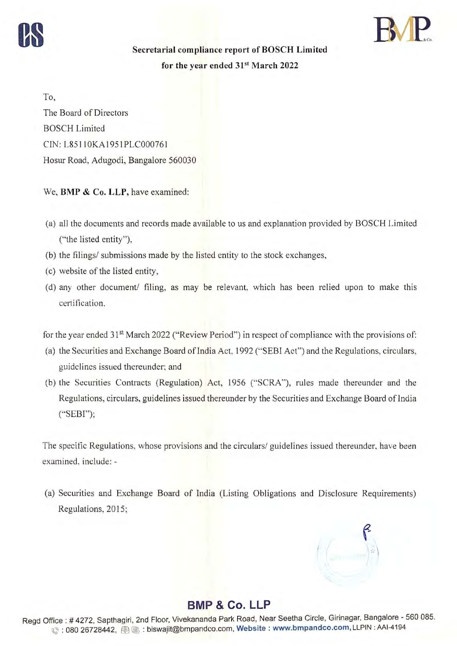



**Secretarial compliance report of BOSCH Limited**  for the year ended 31<sup>st</sup> March 2022

To, The Board of Directors BOSCH Limited CIN : L85 110KA I95 IPLC000761 Hosur Road, Adugodi, Bangalore 560030

We, **BMP** & **Co. LLP,** have examined:

- (a) all the documents and records made available to us and explanation provided by BOSCH Limited ("the listed entity"),
- (b) the filings/ submissions made by the listed entity to the stock exchanges,
- ( c) website of the listed entity,
- (d) any other document/ filing, as may be relevant, which has been relied upon to make this certification.

for the year ended 31<sup>st</sup> March 2022 ("Review Period") in respect of compliance with the provisions of:

- (a) the Securities and Exchange Board of India Act, 1992 ("SEBI Act") and the Regulations, circulars, guidelines issued thereunder; and
- (b) the Securities Contracts (Regulation) Act, 1956 ("SCRA ''), rules made thereunder and the Regulations, circulars, guidelines issued thereunder by the Securities and Exchange Board of India (·'SEBI");

The specific Regulations, whose provisions and the circulars/ guidelines issued thereunder, have been examined. include: -

(a) Securities and Exchange Board of India (Listing Obligations and Disclosure Requirements) Regulations, 2015;



## **BMP & Co. LLP**

Regd Office : # 4272, Sapthagiri, 2nd Floor, Vivekananda Park Road, Near Seetha Circle, Girinagar, Bangalore - 560 085. © : 080 26728442, @) ~ : biswajit@bmpandco.com, **Website : www.bmpandco.com,** LLPIN : AAl-4194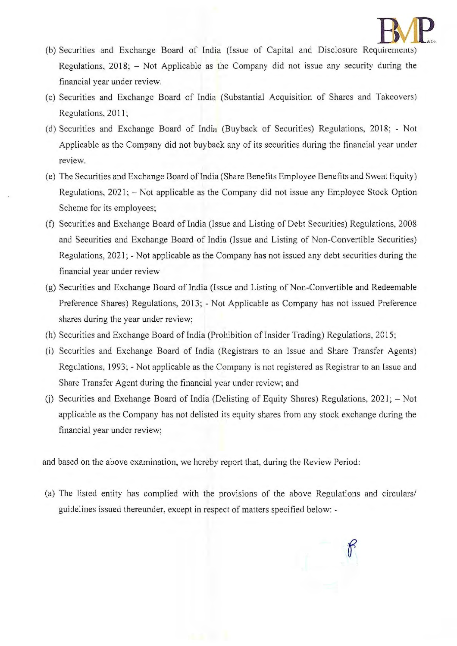

- (b) Securities and Exchange Board of India (Issue of Capital and Disclosure Requirements) Regulations, 2018; - Not Applicable as the Company did not issue any security during the financial year under review.
- (c) Securities and Exchange Board of India (Substantial Acquisition of Shares and Takeovers) Regulations, 2011;
- (d) Securities and Exchange Board of India (Buyback of Securities) Regulations, 2018; Not Applicable as the Company did not buyback any of its securities during the financial year under review.
- (e) The Securities and Exchange Board of India (Share Benefits Employee Benefits and Sweat Equity) Regulations, 2021; - Not applicable as the Company did not issue any Employee Stock Option Scheme for its employees;
- (f) Securities and Exchange Board of India (Issue and Listing of Debt Securities) Regulations, 2008 and Securities and Exchange Board of India (Issue and Listing of Non-Convertible Securities) Regulations, 2021; - Not applicable as the Company has not issued any debt securities during the financial year under review
- (g) Securities and Exchange Board of India (Issue and Listing of Non-Convertible and Redeemable Preference Shares) Regulations, 2013; - Not Applicable as Company has not issued Preference shares during the year under review;
- (h) Securities and Exchange Board of India (Prohibition of Insider Trading) Regulations, 2015;
- (i) Securities and Exchange Board of India (Registrars to an Issue and Share Transfer Agents) Regulations, 1993; - Not applicable as the Company is not registered as Registrar to an Issue and Share Transfer Agent during the financial year under review; and
- (i) Securities and Exchange Board of India (Delisting of Equity Shares) Regulations,  $2021$ ;  $-$  Not applicable as the Company has not delisted its equity shares from any stock exchange during the financial year under review;

and based on the above examination, we hereby report that, during the Review Period:

(a) The listed entity has complied with the provisions of the above Regulations and circulars/ guidelines issued thereunder, except in respect of matters specified below: -

 $\int$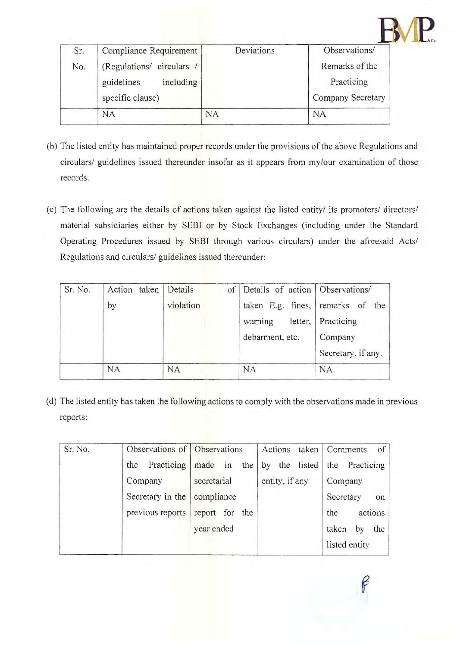| Sr. | Compliance Requirement  | Deviations | Observations/     |
|-----|-------------------------|------------|-------------------|
| No. | (Regulations/ circulars |            | Remarks of the    |
|     | including<br>guidelines |            | Practicing        |
|     | specific clause)        |            | Company Secretary |
|     | <b>NA</b>               | NA         | <b>NA</b>         |

- (b) The listed entity has maintained proper records under the provisions of the above Regulations and circulars/ guidelines issued thereunder insofar as it appears from my/our examination of those records.
- (c) The following are the details of actions taken against the listed entity/ its promoters/ directors/ material subsidiaries either by SEBI or by Stock Exchanges (including under the Standard Operating Procedures issued by SEBI through various circulars) under the aforesaid Acts/ Regulations and circulars/ guidelines issued thereunder:

| Sr. No. | Action taken | Details<br>of | Details of action Observations/  |                    |
|---------|--------------|---------------|----------------------------------|--------------------|
|         | by           | violation     | taken E.g. fines, remarks of the |                    |
|         |              |               | warning<br>letter.               | Practicing         |
|         |              |               | debarment, etc.                  | Company            |
|         |              |               |                                  | Secretary, if any. |
|         | <b>NA</b>    | <b>NA</b>     | <b>NA</b>                        | NA                 |

( d) The listed entity has taken the following actions to comply with the observations made in previous reports:

| Sr. No. | Observations of Observations |                | taken<br>Actions | <b>Comments</b><br>of |
|---------|------------------------------|----------------|------------------|-----------------------|
|         | Practicing<br>the            | made in the    | by the listed    | the Practicing        |
|         | Company                      | secretarial    | entity, if any   | Company               |
|         | Secretary in the             | compliance     |                  | Secretary<br>on       |
|         | previous reports             | report for the |                  | actions<br>the        |
|         |                              | year ended     |                  | taken<br>by<br>the    |
|         |                              |                |                  | listed entity         |